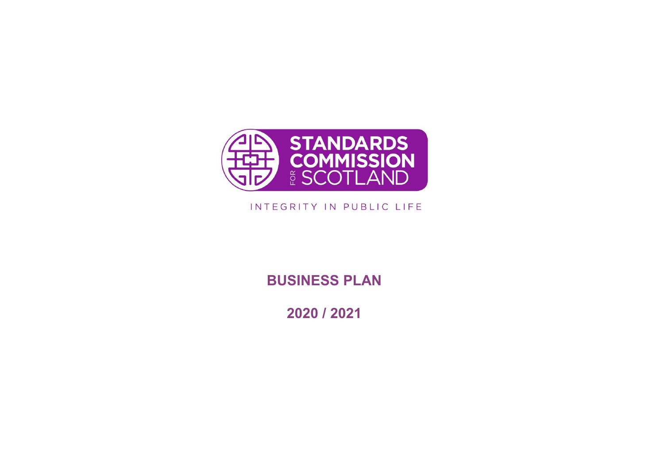

## INTEGRITY IN PUBLIC LIFE

**BUSINESS PLAN**

**2020 / 2021**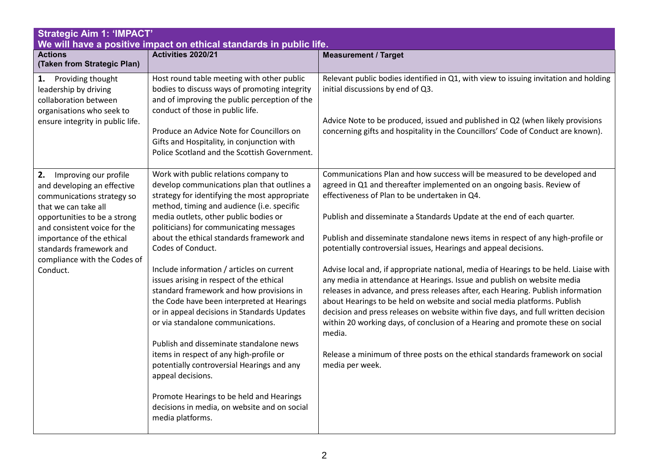| <b>Strategic Aim 1: 'IMPACT'</b><br>We will have a positive impact on ethical standards in public life.                                                                                                                                                                              |                                                                                                                                                                                                                                                                                                                                                                                                                                                                                                                                                                                                                                                                                                                                                                                                                                                                                           |                                                                                                                                                                                                                                                                                                                                                                                                                                                                                                                                                                                                                                                                                                                                                                                                                                                                                                                                                                                                                                                               |
|--------------------------------------------------------------------------------------------------------------------------------------------------------------------------------------------------------------------------------------------------------------------------------------|-------------------------------------------------------------------------------------------------------------------------------------------------------------------------------------------------------------------------------------------------------------------------------------------------------------------------------------------------------------------------------------------------------------------------------------------------------------------------------------------------------------------------------------------------------------------------------------------------------------------------------------------------------------------------------------------------------------------------------------------------------------------------------------------------------------------------------------------------------------------------------------------|---------------------------------------------------------------------------------------------------------------------------------------------------------------------------------------------------------------------------------------------------------------------------------------------------------------------------------------------------------------------------------------------------------------------------------------------------------------------------------------------------------------------------------------------------------------------------------------------------------------------------------------------------------------------------------------------------------------------------------------------------------------------------------------------------------------------------------------------------------------------------------------------------------------------------------------------------------------------------------------------------------------------------------------------------------------|
| <b>Actions</b><br>(Taken from Strategic Plan)                                                                                                                                                                                                                                        | Activities 2020/21                                                                                                                                                                                                                                                                                                                                                                                                                                                                                                                                                                                                                                                                                                                                                                                                                                                                        | <b>Measurement / Target</b>                                                                                                                                                                                                                                                                                                                                                                                                                                                                                                                                                                                                                                                                                                                                                                                                                                                                                                                                                                                                                                   |
| Providing thought<br>1.<br>leadership by driving<br>collaboration between<br>organisations who seek to<br>ensure integrity in public life.                                                                                                                                           | Host round table meeting with other public<br>bodies to discuss ways of promoting integrity<br>and of improving the public perception of the<br>conduct of those in public life.<br>Produce an Advice Note for Councillors on<br>Gifts and Hospitality, in conjunction with<br>Police Scotland and the Scottish Government.                                                                                                                                                                                                                                                                                                                                                                                                                                                                                                                                                               | Relevant public bodies identified in Q1, with view to issuing invitation and holding<br>initial discussions by end of Q3.<br>Advice Note to be produced, issued and published in Q2 (when likely provisions<br>concerning gifts and hospitality in the Councillors' Code of Conduct are known).                                                                                                                                                                                                                                                                                                                                                                                                                                                                                                                                                                                                                                                                                                                                                               |
| 2.<br>Improving our profile<br>and developing an effective<br>communications strategy so<br>that we can take all<br>opportunities to be a strong<br>and consistent voice for the<br>importance of the ethical<br>standards framework and<br>compliance with the Codes of<br>Conduct. | Work with public relations company to<br>develop communications plan that outlines a<br>strategy for identifying the most appropriate<br>method, timing and audience (i.e. specific<br>media outlets, other public bodies or<br>politicians) for communicating messages<br>about the ethical standards framework and<br>Codes of Conduct.<br>Include information / articles on current<br>issues arising in respect of the ethical<br>standard framework and how provisions in<br>the Code have been interpreted at Hearings<br>or in appeal decisions in Standards Updates<br>or via standalone communications.<br>Publish and disseminate standalone news<br>items in respect of any high-profile or<br>potentially controversial Hearings and any<br>appeal decisions.<br>Promote Hearings to be held and Hearings<br>decisions in media, on website and on social<br>media platforms. | Communications Plan and how success will be measured to be developed and<br>agreed in Q1 and thereafter implemented on an ongoing basis. Review of<br>effectiveness of Plan to be undertaken in Q4.<br>Publish and disseminate a Standards Update at the end of each quarter.<br>Publish and disseminate standalone news items in respect of any high-profile or<br>potentially controversial issues, Hearings and appeal decisions.<br>Advise local and, if appropriate national, media of Hearings to be held. Liaise with<br>any media in attendance at Hearings. Issue and publish on website media<br>releases in advance, and press releases after, each Hearing. Publish information<br>about Hearings to be held on website and social media platforms. Publish<br>decision and press releases on website within five days, and full written decision<br>within 20 working days, of conclusion of a Hearing and promote these on social<br>media.<br>Release a minimum of three posts on the ethical standards framework on social<br>media per week. |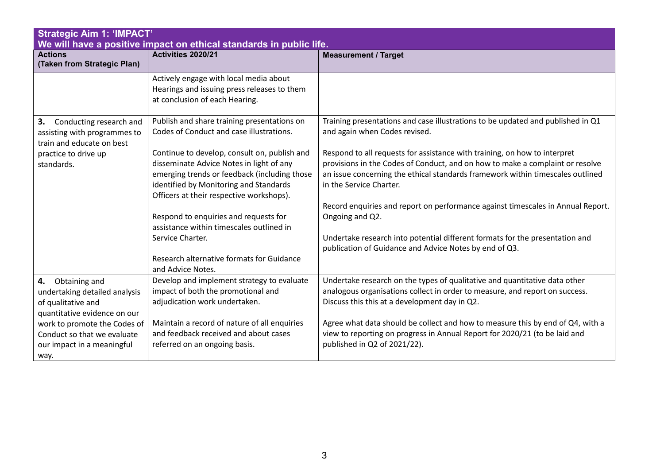| <b>Strategic Aim 1: 'IMPACT'</b><br>We will have a positive impact on ethical standards in public life.    |                                                                                                                                                                                                                                |                                                                                                                                                                                                                                                                         |
|------------------------------------------------------------------------------------------------------------|--------------------------------------------------------------------------------------------------------------------------------------------------------------------------------------------------------------------------------|-------------------------------------------------------------------------------------------------------------------------------------------------------------------------------------------------------------------------------------------------------------------------|
| <b>Actions</b><br>(Taken from Strategic Plan)                                                              | Activities 2020/21                                                                                                                                                                                                             | <b>Measurement / Target</b>                                                                                                                                                                                                                                             |
|                                                                                                            | Actively engage with local media about<br>Hearings and issuing press releases to them<br>at conclusion of each Hearing.                                                                                                        |                                                                                                                                                                                                                                                                         |
| 3.<br>Conducting research and<br>assisting with programmes to<br>train and educate on best                 | Publish and share training presentations on<br>Codes of Conduct and case illustrations.                                                                                                                                        | Training presentations and case illustrations to be updated and published in Q1<br>and again when Codes revised.                                                                                                                                                        |
| practice to drive up<br>standards.                                                                         | Continue to develop, consult on, publish and<br>disseminate Advice Notes in light of any<br>emerging trends or feedback (including those<br>identified by Monitoring and Standards<br>Officers at their respective workshops). | Respond to all requests for assistance with training, on how to interpret<br>provisions in the Codes of Conduct, and on how to make a complaint or resolve<br>an issue concerning the ethical standards framework within timescales outlined<br>in the Service Charter. |
|                                                                                                            | Respond to enquiries and requests for<br>assistance within timescales outlined in                                                                                                                                              | Record enquiries and report on performance against timescales in Annual Report.<br>Ongoing and Q2.                                                                                                                                                                      |
|                                                                                                            | Service Charter.<br>Research alternative formats for Guidance                                                                                                                                                                  | Undertake research into potential different formats for the presentation and<br>publication of Guidance and Advice Notes by end of Q3.                                                                                                                                  |
|                                                                                                            | and Advice Notes.                                                                                                                                                                                                              |                                                                                                                                                                                                                                                                         |
| Obtaining and<br>4.<br>undertaking detailed analysis<br>of qualitative and<br>quantitative evidence on our | Develop and implement strategy to evaluate<br>impact of both the promotional and<br>adjudication work undertaken.                                                                                                              | Undertake research on the types of qualitative and quantitative data other<br>analogous organisations collect in order to measure, and report on success.<br>Discuss this this at a development day in Q2.                                                              |
| work to promote the Codes of<br>Conduct so that we evaluate<br>our impact in a meaningful<br>way.          | Maintain a record of nature of all enquiries<br>and feedback received and about cases<br>referred on an ongoing basis.                                                                                                         | Agree what data should be collect and how to measure this by end of Q4, with a<br>view to reporting on progress in Annual Report for 2020/21 (to be laid and<br>published in Q2 of 2021/22).                                                                            |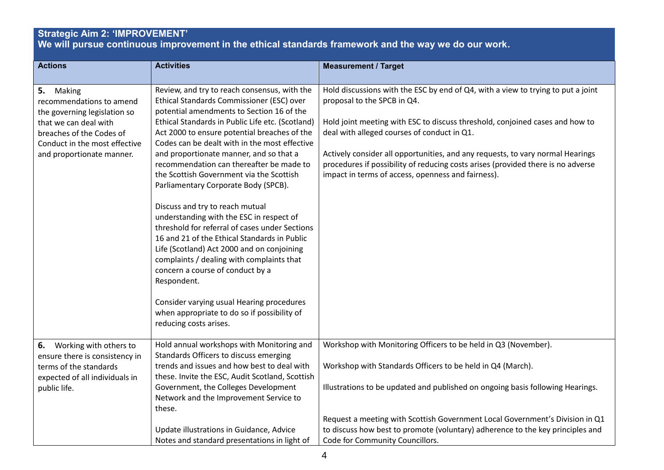#### **Strategic Aim 2: 'IMPROVEMENT' We will pursue continuous improvement in the ethical standards framework and the way we do our work.**

| <b>Actions</b>                                 | <b>Activities</b>                                                                         | <b>Measurement / Target</b>                                                                                     |
|------------------------------------------------|-------------------------------------------------------------------------------------------|-----------------------------------------------------------------------------------------------------------------|
|                                                |                                                                                           |                                                                                                                 |
| 5.<br>Making<br>recommendations to amend       | Review, and try to reach consensus, with the<br>Ethical Standards Commissioner (ESC) over | Hold discussions with the ESC by end of Q4, with a view to trying to put a joint<br>proposal to the SPCB in Q4. |
| the governing legislation so                   | potential amendments to Section 16 of the                                                 |                                                                                                                 |
| that we can deal with                          | Ethical Standards in Public Life etc. (Scotland)                                          | Hold joint meeting with ESC to discuss threshold, conjoined cases and how to                                    |
| breaches of the Codes of                       | Act 2000 to ensure potential breaches of the                                              | deal with alleged courses of conduct in Q1.                                                                     |
| Conduct in the most effective                  | Codes can be dealt with in the most effective<br>and proportionate manner, and so that a  | Actively consider all opportunities, and any requests, to vary normal Hearings                                  |
| and proportionate manner.                      | recommendation can thereafter be made to                                                  | procedures if possibility of reducing costs arises (provided there is no adverse                                |
|                                                | the Scottish Government via the Scottish                                                  | impact in terms of access, openness and fairness).                                                              |
|                                                | Parliamentary Corporate Body (SPCB).                                                      |                                                                                                                 |
|                                                | Discuss and try to reach mutual                                                           |                                                                                                                 |
|                                                | understanding with the ESC in respect of                                                  |                                                                                                                 |
|                                                | threshold for referral of cases under Sections                                            |                                                                                                                 |
|                                                | 16 and 21 of the Ethical Standards in Public                                              |                                                                                                                 |
|                                                | Life (Scotland) Act 2000 and on conjoining<br>complaints / dealing with complaints that   |                                                                                                                 |
|                                                | concern a course of conduct by a                                                          |                                                                                                                 |
|                                                | Respondent.                                                                               |                                                                                                                 |
|                                                | Consider varying usual Hearing procedures                                                 |                                                                                                                 |
|                                                | when appropriate to do so if possibility of                                               |                                                                                                                 |
|                                                | reducing costs arises.                                                                    |                                                                                                                 |
| Working with others to<br>6.                   | Hold annual workshops with Monitoring and                                                 | Workshop with Monitoring Officers to be held in Q3 (November).                                                  |
| ensure there is consistency in                 | Standards Officers to discuss emerging                                                    |                                                                                                                 |
| terms of the standards                         | trends and issues and how best to deal with                                               | Workshop with Standards Officers to be held in Q4 (March).                                                      |
| expected of all individuals in<br>public life. | these. Invite the ESC, Audit Scotland, Scottish<br>Government, the Colleges Development   | Illustrations to be updated and published on ongoing basis following Hearings.                                  |
|                                                | Network and the Improvement Service to                                                    |                                                                                                                 |
|                                                | these.                                                                                    |                                                                                                                 |
|                                                |                                                                                           | Request a meeting with Scottish Government Local Government's Division in Q1                                    |
|                                                | Update illustrations in Guidance, Advice                                                  | to discuss how best to promote (voluntary) adherence to the key principles and                                  |
|                                                | Notes and standard presentations in light of                                              | Code for Community Councillors.                                                                                 |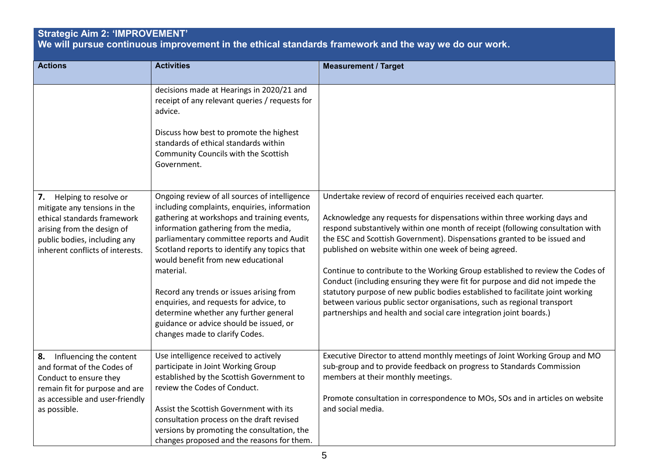# **Strategic Aim 2: 'IMPROVEMENT'**

**We will pursue continuous improvement in the ethical standards framework and the way we do our work.**

| <b>Actions</b>                                                                                                                                                                               | <b>Activities</b>                                                                                                                                                                                                                                                                                                                                                                                                                                                                                                                                 | <b>Measurement / Target</b>                                                                                                                                                                                                                                                                                                                                                                                                                                                                                                                                                                                                                                                                                                                                            |
|----------------------------------------------------------------------------------------------------------------------------------------------------------------------------------------------|---------------------------------------------------------------------------------------------------------------------------------------------------------------------------------------------------------------------------------------------------------------------------------------------------------------------------------------------------------------------------------------------------------------------------------------------------------------------------------------------------------------------------------------------------|------------------------------------------------------------------------------------------------------------------------------------------------------------------------------------------------------------------------------------------------------------------------------------------------------------------------------------------------------------------------------------------------------------------------------------------------------------------------------------------------------------------------------------------------------------------------------------------------------------------------------------------------------------------------------------------------------------------------------------------------------------------------|
|                                                                                                                                                                                              | decisions made at Hearings in 2020/21 and<br>receipt of any relevant queries / requests for<br>advice.<br>Discuss how best to promote the highest<br>standards of ethical standards within<br>Community Councils with the Scottish<br>Government.                                                                                                                                                                                                                                                                                                 |                                                                                                                                                                                                                                                                                                                                                                                                                                                                                                                                                                                                                                                                                                                                                                        |
| 7.<br>Helping to resolve or<br>mitigate any tensions in the<br>ethical standards framework<br>arising from the design of<br>public bodies, including any<br>inherent conflicts of interests. | Ongoing review of all sources of intelligence<br>including complaints, enquiries, information<br>gathering at workshops and training events,<br>information gathering from the media,<br>parliamentary committee reports and Audit<br>Scotland reports to identify any topics that<br>would benefit from new educational<br>material.<br>Record any trends or issues arising from<br>enquiries, and requests for advice, to<br>determine whether any further general<br>guidance or advice should be issued, or<br>changes made to clarify Codes. | Undertake review of record of enquiries received each quarter.<br>Acknowledge any requests for dispensations within three working days and<br>respond substantively within one month of receipt (following consultation with<br>the ESC and Scottish Government). Dispensations granted to be issued and<br>published on website within one week of being agreed.<br>Continue to contribute to the Working Group established to review the Codes of<br>Conduct (including ensuring they were fit for purpose and did not impede the<br>statutory purpose of new public bodies established to facilitate joint working<br>between various public sector organisations, such as regional transport<br>partnerships and health and social care integration joint boards.) |
| Influencing the content<br>8.<br>and format of the Codes of<br>Conduct to ensure they<br>remain fit for purpose and are<br>as accessible and user-friendly<br>as possible.                   | Use intelligence received to actively<br>participate in Joint Working Group<br>established by the Scottish Government to<br>review the Codes of Conduct.<br>Assist the Scottish Government with its<br>consultation process on the draft revised<br>versions by promoting the consultation, the<br>changes proposed and the reasons for them.                                                                                                                                                                                                     | Executive Director to attend monthly meetings of Joint Working Group and MO<br>sub-group and to provide feedback on progress to Standards Commission<br>members at their monthly meetings.<br>Promote consultation in correspondence to MOs, SOs and in articles on website<br>and social media.                                                                                                                                                                                                                                                                                                                                                                                                                                                                       |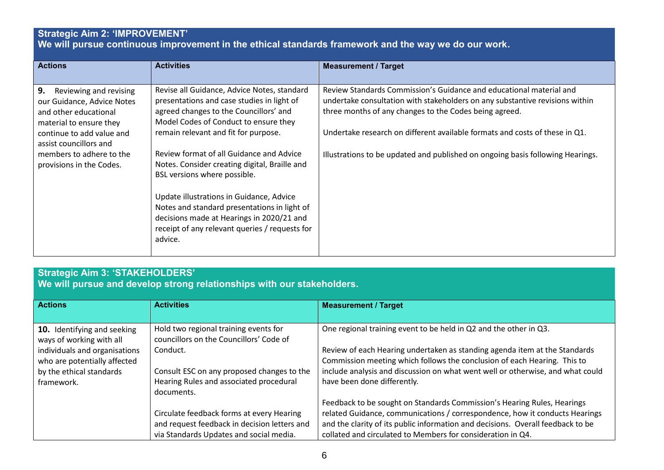### **Strategic Aim 2: 'IMPROVEMENT' We will pursue continuous improvement in the ethical standards framework and the way we do our work.**

| <b>Actions</b>                                                                                                                                                                                                                | <b>Activities</b>                                                                                                                                                                                                                                                                                                                                 | <b>Measurement / Target</b>                                                                                                                                                                                                                                                                                                                                                    |
|-------------------------------------------------------------------------------------------------------------------------------------------------------------------------------------------------------------------------------|---------------------------------------------------------------------------------------------------------------------------------------------------------------------------------------------------------------------------------------------------------------------------------------------------------------------------------------------------|--------------------------------------------------------------------------------------------------------------------------------------------------------------------------------------------------------------------------------------------------------------------------------------------------------------------------------------------------------------------------------|
| 9.<br>Reviewing and revising<br>our Guidance, Advice Notes<br>and other educational<br>material to ensure they<br>continue to add value and<br>assist councillors and<br>members to adhere to the<br>provisions in the Codes. | Revise all Guidance, Advice Notes, standard<br>presentations and case studies in light of<br>agreed changes to the Councillors' and<br>Model Codes of Conduct to ensure they<br>remain relevant and fit for purpose.<br>Review format of all Guidance and Advice<br>Notes. Consider creating digital, Braille and<br>BSL versions where possible. | Review Standards Commission's Guidance and educational material and<br>undertake consultation with stakeholders on any substantive revisions within<br>three months of any changes to the Codes being agreed.<br>Undertake research on different available formats and costs of these in Q1.<br>Illustrations to be updated and published on ongoing basis following Hearings. |
|                                                                                                                                                                                                                               | Update illustrations in Guidance, Advice<br>Notes and standard presentations in light of<br>decisions made at Hearings in 2020/21 and<br>receipt of any relevant queries / requests for<br>advice.                                                                                                                                                |                                                                                                                                                                                                                                                                                                                                                                                |

# **Strategic Aim 3: 'STAKEHOLDERS'**

**We will pursue and develop strong relationships with our stakeholders.**

| <b>Actions</b>                                          | <b>Activities</b>                                                                | <b>Measurement / Target</b>                                                     |
|---------------------------------------------------------|----------------------------------------------------------------------------------|---------------------------------------------------------------------------------|
|                                                         |                                                                                  |                                                                                 |
| 10. Identifying and seeking<br>ways of working with all | Hold two regional training events for<br>councillors on the Councillors' Code of | One regional training event to be held in Q2 and the other in Q3.               |
| individuals and organisations                           | Conduct.                                                                         | Review of each Hearing undertaken as standing agenda item at the Standards      |
| who are potentially affected                            |                                                                                  | Commission meeting which follows the conclusion of each Hearing. This to        |
| by the ethical standards                                | Consult ESC on any proposed changes to the                                       | include analysis and discussion on what went well or otherwise, and what could  |
| framework.                                              | Hearing Rules and associated procedural                                          | have been done differently.                                                     |
|                                                         | documents.                                                                       |                                                                                 |
|                                                         |                                                                                  | Feedback to be sought on Standards Commission's Hearing Rules, Hearings         |
|                                                         | Circulate feedback forms at every Hearing                                        | related Guidance, communications / correspondence, how it conducts Hearings     |
|                                                         | and request feedback in decision letters and                                     | and the clarity of its public information and decisions. Overall feedback to be |
|                                                         | via Standards Updates and social media.                                          | collated and circulated to Members for consideration in Q4.                     |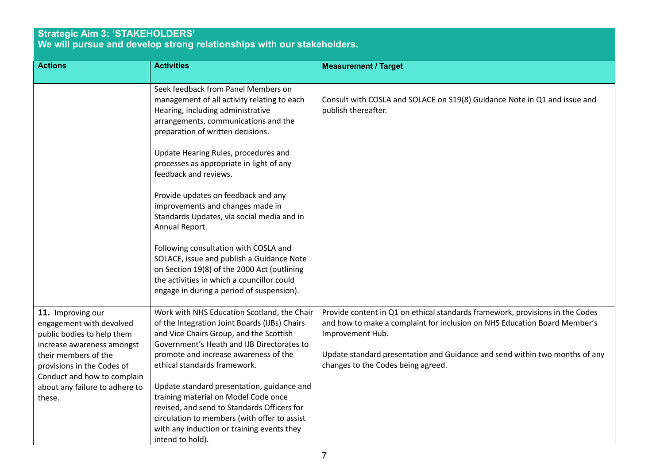#### **Strategic Aim 3: 'STAKEHOLDERS' We will pursue and develop strong relationships with our stakeholders.**

| <b>Actions</b>                                                                                                                                                                                 | <b>Activities</b>                                                                                                                                                                                                                                                                                                                                                                                                                                                                                                                                                                                 | <b>Measurement / Target</b>                                                                                                                                                                                                                                                                         |
|------------------------------------------------------------------------------------------------------------------------------------------------------------------------------------------------|---------------------------------------------------------------------------------------------------------------------------------------------------------------------------------------------------------------------------------------------------------------------------------------------------------------------------------------------------------------------------------------------------------------------------------------------------------------------------------------------------------------------------------------------------------------------------------------------------|-----------------------------------------------------------------------------------------------------------------------------------------------------------------------------------------------------------------------------------------------------------------------------------------------------|
|                                                                                                                                                                                                | Seek feedback from Panel Members on<br>management of all activity relating to each<br>Hearing, including administrative<br>arrangements, communications and the<br>preparation of written decisions.<br>Update Hearing Rules, procedures and<br>processes as appropriate in light of any<br>feedback and reviews.<br>Provide updates on feedback and any<br>improvements and changes made in<br>Standards Updates, via social media and in<br>Annual Report.<br>Following consultation with COSLA and<br>SOLACE, issue and publish a Guidance Note<br>on Section 19(8) of the 2000 Act (outlining | Consult with COSLA and SOLACE on S19(8) Guidance Note in Q1 and issue and<br>publish thereafter.                                                                                                                                                                                                    |
|                                                                                                                                                                                                | the activities in which a councillor could<br>engage in during a period of suspension).                                                                                                                                                                                                                                                                                                                                                                                                                                                                                                           |                                                                                                                                                                                                                                                                                                     |
| 11. Improving our<br>engagement with devolved<br>public bodies to help them<br>increase awareness amongst<br>their members of the<br>provisions in the Codes of<br>Conduct and how to complain | Work with NHS Education Scotland, the Chair<br>of the Integration Joint Boards (IJBs) Chairs<br>and Vice Chairs Group, and the Scottish<br>Government's Heath and IJB Directorates to<br>promote and increase awareness of the<br>ethical standards framework.                                                                                                                                                                                                                                                                                                                                    | Provide content in Q1 on ethical standards framework, provisions in the Codes<br>and how to make a complaint for inclusion on NHS Education Board Member's<br>Improvement Hub.<br>Update standard presentation and Guidance and send within two months of any<br>changes to the Codes being agreed. |
| about any failure to adhere to<br>these.                                                                                                                                                       | Update standard presentation, guidance and<br>training material on Model Code once<br>revised, and send to Standards Officers for<br>circulation to members (with offer to assist<br>with any induction or training events they<br>intend to hold).                                                                                                                                                                                                                                                                                                                                               |                                                                                                                                                                                                                                                                                                     |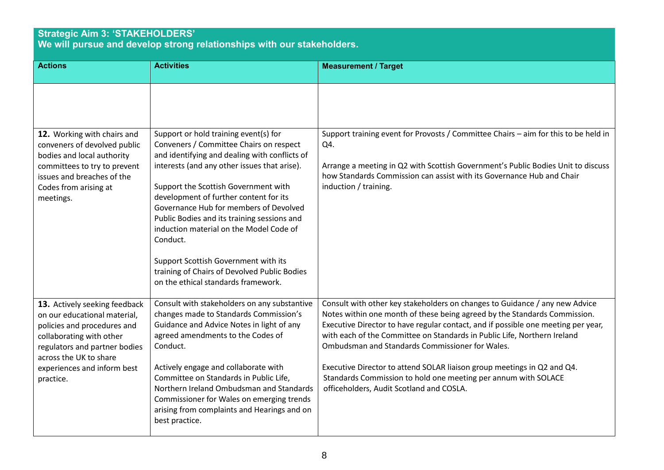### **Strategic Aim 3: 'STAKEHOLDERS' We will pursue and develop strong relationships with our stakeholders.**

| <b>Actions</b>                                                                                                                                                                      | <b>Activities</b>                                                                                                                                                                                                                                                              | <b>Measurement / Target</b>                                                                                                                                                                                                                                                                                                                                                  |
|-------------------------------------------------------------------------------------------------------------------------------------------------------------------------------------|--------------------------------------------------------------------------------------------------------------------------------------------------------------------------------------------------------------------------------------------------------------------------------|------------------------------------------------------------------------------------------------------------------------------------------------------------------------------------------------------------------------------------------------------------------------------------------------------------------------------------------------------------------------------|
|                                                                                                                                                                                     |                                                                                                                                                                                                                                                                                |                                                                                                                                                                                                                                                                                                                                                                              |
| 12. Working with chairs and<br>conveners of devolved public<br>bodies and local authority                                                                                           | Support or hold training event(s) for<br>Conveners / Committee Chairs on respect<br>and identifying and dealing with conflicts of                                                                                                                                              | Support training event for Provosts / Committee Chairs - aim for this to be held in<br>Q4.                                                                                                                                                                                                                                                                                   |
| committees to try to prevent<br>issues and breaches of the<br>Codes from arising at<br>meetings.                                                                                    | interests (and any other issues that arise).<br>Support the Scottish Government with<br>development of further content for its<br>Governance Hub for members of Devolved<br>Public Bodies and its training sessions and<br>induction material on the Model Code of<br>Conduct. | Arrange a meeting in Q2 with Scottish Government's Public Bodies Unit to discuss<br>how Standards Commission can assist with its Governance Hub and Chair<br>induction / training.                                                                                                                                                                                           |
|                                                                                                                                                                                     | Support Scottish Government with its<br>training of Chairs of Devolved Public Bodies<br>on the ethical standards framework.                                                                                                                                                    |                                                                                                                                                                                                                                                                                                                                                                              |
| 13. Actively seeking feedback<br>on our educational material,<br>policies and procedures and<br>collaborating with other<br>regulators and partner bodies<br>across the UK to share | Consult with stakeholders on any substantive<br>changes made to Standards Commission's<br>Guidance and Advice Notes in light of any<br>agreed amendments to the Codes of<br>Conduct.                                                                                           | Consult with other key stakeholders on changes to Guidance / any new Advice<br>Notes within one month of these being agreed by the Standards Commission.<br>Executive Director to have regular contact, and if possible one meeting per year,<br>with each of the Committee on Standards in Public Life, Northern Ireland<br>Ombudsman and Standards Commissioner for Wales. |
| experiences and inform best<br>practice.                                                                                                                                            | Actively engage and collaborate with<br>Committee on Standards in Public Life,<br>Northern Ireland Ombudsman and Standards<br>Commissioner for Wales on emerging trends<br>arising from complaints and Hearings and on<br>best practice.                                       | Executive Director to attend SOLAR liaison group meetings in Q2 and Q4.<br>Standards Commission to hold one meeting per annum with SOLACE<br>officeholders, Audit Scotland and COSLA.                                                                                                                                                                                        |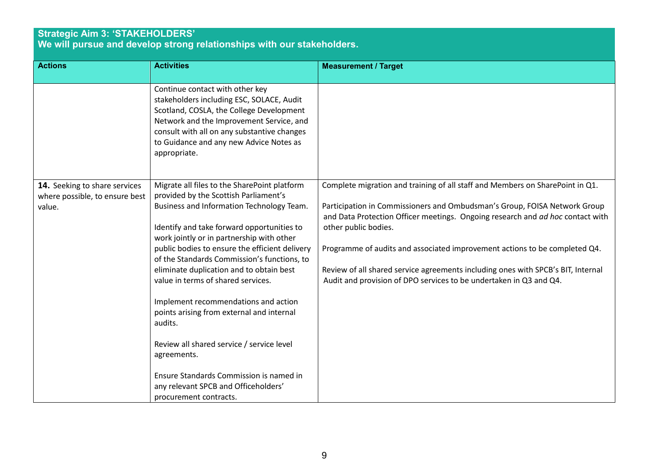#### **Strategic Aim 3: 'STAKEHOLDERS' We will pursue and develop strong relationships with our stakeholders.**

| <b>Actions</b>                                                            | <b>Activities</b>                                                                                                                                                                                                                                                                                                                                                                                                                                                                                                                                                                                                                                                                         | <b>Measurement / Target</b>                                                                                                                                                                                                                                                                                                                                                                                                                                                                                  |
|---------------------------------------------------------------------------|-------------------------------------------------------------------------------------------------------------------------------------------------------------------------------------------------------------------------------------------------------------------------------------------------------------------------------------------------------------------------------------------------------------------------------------------------------------------------------------------------------------------------------------------------------------------------------------------------------------------------------------------------------------------------------------------|--------------------------------------------------------------------------------------------------------------------------------------------------------------------------------------------------------------------------------------------------------------------------------------------------------------------------------------------------------------------------------------------------------------------------------------------------------------------------------------------------------------|
|                                                                           | Continue contact with other key<br>stakeholders including ESC, SOLACE, Audit<br>Scotland, COSLA, the College Development<br>Network and the Improvement Service, and<br>consult with all on any substantive changes<br>to Guidance and any new Advice Notes as<br>appropriate.                                                                                                                                                                                                                                                                                                                                                                                                            |                                                                                                                                                                                                                                                                                                                                                                                                                                                                                                              |
| 14. Seeking to share services<br>where possible, to ensure best<br>value. | Migrate all files to the SharePoint platform<br>provided by the Scottish Parliament's<br>Business and Information Technology Team.<br>Identify and take forward opportunities to<br>work jointly or in partnership with other<br>public bodies to ensure the efficient delivery<br>of the Standards Commission's functions, to<br>eliminate duplication and to obtain best<br>value in terms of shared services.<br>Implement recommendations and action<br>points arising from external and internal<br>audits.<br>Review all shared service / service level<br>agreements.<br>Ensure Standards Commission is named in<br>any relevant SPCB and Officeholders'<br>procurement contracts. | Complete migration and training of all staff and Members on SharePoint in Q1.<br>Participation in Commissioners and Ombudsman's Group, FOISA Network Group<br>and Data Protection Officer meetings. Ongoing research and ad hoc contact with<br>other public bodies.<br>Programme of audits and associated improvement actions to be completed Q4.<br>Review of all shared service agreements including ones with SPCB's BIT, Internal<br>Audit and provision of DPO services to be undertaken in Q3 and Q4. |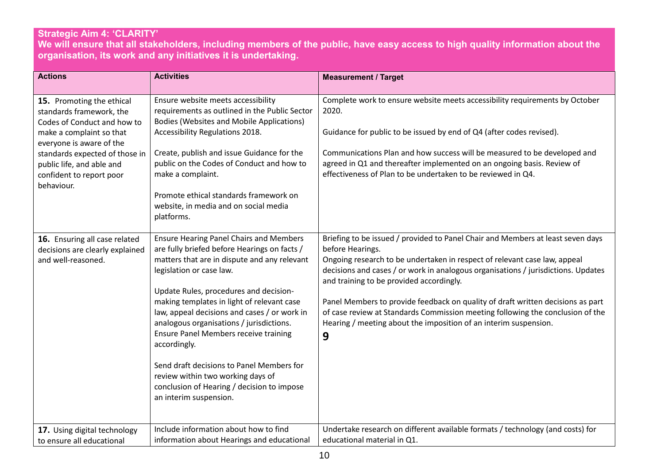## **Strategic Aim 4: 'CLARITY'**

**We will ensure that all stakeholders, including members of the public, have easy access to high quality information about the organisation, its work and any initiatives it is undertaking.**

| <b>Actions</b>                                       | <b>Activities</b>                                                                    | <b>Measurement / Target</b>                                                       |
|------------------------------------------------------|--------------------------------------------------------------------------------------|-----------------------------------------------------------------------------------|
|                                                      |                                                                                      |                                                                                   |
| 15. Promoting the ethical                            | Ensure website meets accessibility                                                   | Complete work to ensure website meets accessibility requirements by October       |
| standards framework, the                             | requirements as outlined in the Public Sector                                        | 2020.                                                                             |
| Codes of Conduct and how to                          | <b>Bodies (Websites and Mobile Applications)</b><br>Accessibility Regulations 2018.  | Guidance for public to be issued by end of Q4 (after codes revised).              |
| make a complaint so that<br>everyone is aware of the |                                                                                      |                                                                                   |
| standards expected of those in                       | Create, publish and issue Guidance for the                                           | Communications Plan and how success will be measured to be developed and          |
| public life, and able and                            | public on the Codes of Conduct and how to                                            | agreed in Q1 and thereafter implemented on an ongoing basis. Review of            |
| confident to report poor                             | make a complaint.                                                                    | effectiveness of Plan to be undertaken to be reviewed in Q4.                      |
| behaviour.                                           |                                                                                      |                                                                                   |
|                                                      | Promote ethical standards framework on                                               |                                                                                   |
|                                                      | website, in media and on social media                                                |                                                                                   |
|                                                      | platforms.                                                                           |                                                                                   |
| 16. Ensuring all case related                        | <b>Ensure Hearing Panel Chairs and Members</b>                                       | Briefing to be issued / provided to Panel Chair and Members at least seven days   |
| decisions are clearly explained                      | are fully briefed before Hearings on facts /                                         | before Hearings.                                                                  |
| and well-reasoned.                                   | matters that are in dispute and any relevant                                         | Ongoing research to be undertaken in respect of relevant case law, appeal         |
|                                                      | legislation or case law.                                                             | decisions and cases / or work in analogous organisations / jurisdictions. Updates |
|                                                      |                                                                                      | and training to be provided accordingly.                                          |
|                                                      | Update Rules, procedures and decision-<br>making templates in light of relevant case | Panel Members to provide feedback on quality of draft written decisions as part   |
|                                                      | law, appeal decisions and cases / or work in                                         | of case review at Standards Commission meeting following the conclusion of the    |
|                                                      | analogous organisations / jurisdictions.                                             | Hearing / meeting about the imposition of an interim suspension.                  |
|                                                      | <b>Ensure Panel Members receive training</b>                                         | 9                                                                                 |
|                                                      | accordingly.                                                                         |                                                                                   |
|                                                      |                                                                                      |                                                                                   |
|                                                      | Send draft decisions to Panel Members for                                            |                                                                                   |
|                                                      | review within two working days of                                                    |                                                                                   |
|                                                      | conclusion of Hearing / decision to impose<br>an interim suspension.                 |                                                                                   |
|                                                      |                                                                                      |                                                                                   |
|                                                      |                                                                                      |                                                                                   |
| 17. Using digital technology                         | Include information about how to find                                                | Undertake research on different available formats / technology (and costs) for    |
| to ensure all educational                            | information about Hearings and educational                                           | educational material in Q1.                                                       |